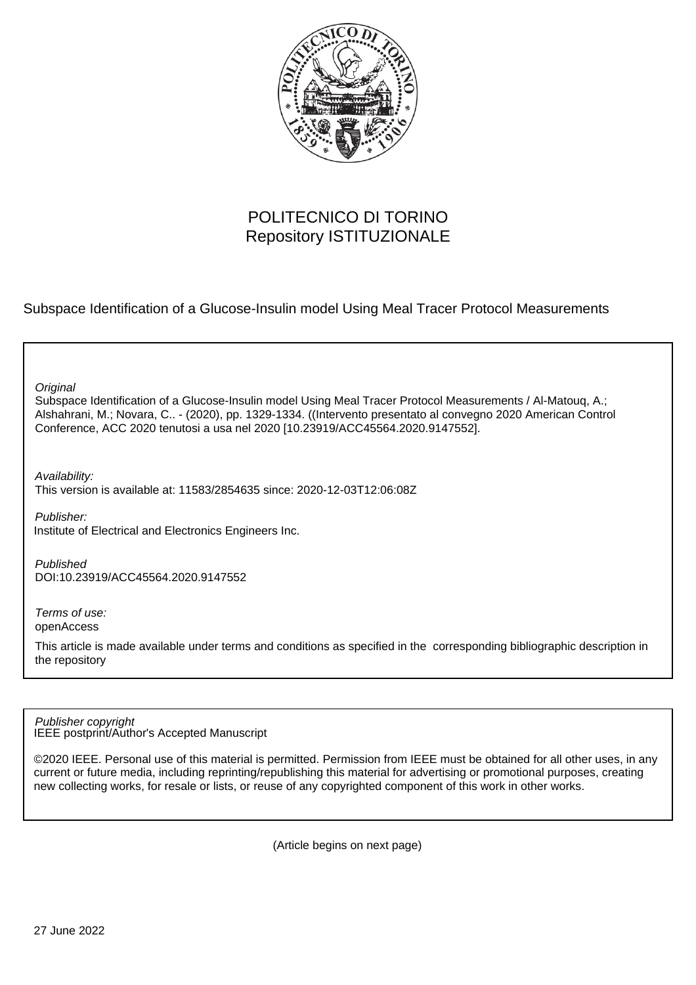

# POLITECNICO DI TORINO Repository ISTITUZIONALE

Subspace Identification of a Glucose-Insulin model Using Meal Tracer Protocol Measurements

**Original** 

Subspace Identification of a Glucose-Insulin model Using Meal Tracer Protocol Measurements / Al-Matouq, A.; Alshahrani, M.; Novara, C.. - (2020), pp. 1329-1334. ((Intervento presentato al convegno 2020 American Control Conference, ACC 2020 tenutosi a usa nel 2020 [10.23919/ACC45564.2020.9147552].

Availability:

This version is available at: 11583/2854635 since: 2020-12-03T12:06:08Z

Publisher: Institute of Electrical and Electronics Engineers Inc.

Published DOI:10.23919/ACC45564.2020.9147552

Terms of use: openAccess

This article is made available under terms and conditions as specified in the corresponding bibliographic description in the repository

IEEE postprint/Author's Accepted Manuscript Publisher copyright

©2020 IEEE. Personal use of this material is permitted. Permission from IEEE must be obtained for all other uses, in any current or future media, including reprinting/republishing this material for advertising or promotional purposes, creating new collecting works, for resale or lists, or reuse of any copyrighted component of this work in other works.

(Article begins on next page)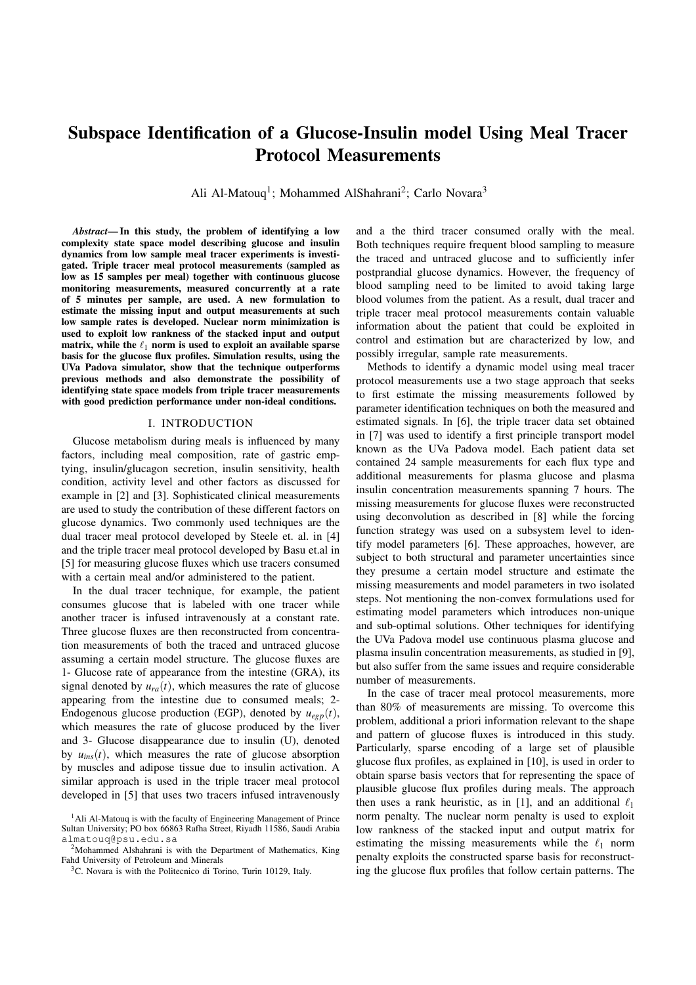# Subspace Identification of a Glucose-Insulin model Using Meal Tracer Protocol Measurements

Ali Al-Matouq<sup>1</sup>; Mohammed AlShahrani<sup>2</sup>; Carlo Novara<sup>3</sup>

*Abstract*— In this study, the problem of identifying a low complexity state space model describing glucose and insulin dynamics from low sample meal tracer experiments is investigated. Triple tracer meal protocol measurements (sampled as low as 15 samples per meal) together with continuous glucose monitoring measurements, measured concurrently at a rate of 5 minutes per sample, are used. A new formulation to estimate the missing input and output measurements at such low sample rates is developed. Nuclear norm minimization is used to exploit low rankness of the stacked input and output matrix, while the  $\ell_1$  norm is used to exploit an available sparse basis for the glucose flux profiles. Simulation results, using the UVa Padova simulator, show that the technique outperforms previous methods and also demonstrate the possibility of identifying state space models from triple tracer measurements with good prediction performance under non-ideal conditions.

### I. INTRODUCTION

Glucose metabolism during meals is influenced by many factors, including meal composition, rate of gastric emptying, insulin/glucagon secretion, insulin sensitivity, health condition, activity level and other factors as discussed for example in [2] and [3]. Sophisticated clinical measurements are used to study the contribution of these different factors on glucose dynamics. Two commonly used techniques are the dual tracer meal protocol developed by Steele et. al. in [4] and the triple tracer meal protocol developed by Basu et.al in [5] for measuring glucose fluxes which use tracers consumed with a certain meal and/or administered to the patient.

In the dual tracer technique, for example, the patient consumes glucose that is labeled with one tracer while another tracer is infused intravenously at a constant rate. Three glucose fluxes are then reconstructed from concentration measurements of both the traced and untraced glucose assuming a certain model structure. The glucose fluxes are 1- Glucose rate of appearance from the intestine (GRA), its signal denoted by  $u_{ra}(t)$ , which measures the rate of glucose appearing from the intestine due to consumed meals; 2- Endogenous glucose production (EGP), denoted by  $u_{eep}(t)$ , which measures the rate of glucose produced by the liver and 3- Glucose disappearance due to insulin (U), denoted by  $u_{ins}(t)$ , which measures the rate of glucose absorption by muscles and adipose tissue due to insulin activation. A similar approach is used in the triple tracer meal protocol developed in [5] that uses two tracers infused intravenously

and a the third tracer consumed orally with the meal. Both techniques require frequent blood sampling to measure the traced and untraced glucose and to sufficiently infer postprandial glucose dynamics. However, the frequency of blood sampling need to be limited to avoid taking large blood volumes from the patient. As a result, dual tracer and triple tracer meal protocol measurements contain valuable information about the patient that could be exploited in control and estimation but are characterized by low, and possibly irregular, sample rate measurements.

Methods to identify a dynamic model using meal tracer protocol measurements use a two stage approach that seeks to first estimate the missing measurements followed by parameter identification techniques on both the measured and estimated signals. In [6], the triple tracer data set obtained in [7] was used to identify a first principle transport model known as the UVa Padova model. Each patient data set contained 24 sample measurements for each flux type and additional measurements for plasma glucose and plasma insulin concentration measurements spanning 7 hours. The missing measurements for glucose fluxes were reconstructed using deconvolution as described in [8] while the forcing function strategy was used on a subsystem level to identify model parameters [6]. These approaches, however, are subject to both structural and parameter uncertainties since they presume a certain model structure and estimate the missing measurements and model parameters in two isolated steps. Not mentioning the non-convex formulations used for estimating model parameters which introduces non-unique and sub-optimal solutions. Other techniques for identifying the UVa Padova model use continuous plasma glucose and plasma insulin concentration measurements, as studied in [9], but also suffer from the same issues and require considerable number of measurements.

In the case of tracer meal protocol measurements, more than 80% of measurements are missing. To overcome this problem, additional a priori information relevant to the shape and pattern of glucose fluxes is introduced in this study. Particularly, sparse encoding of a large set of plausible glucose flux profiles, as explained in [10], is used in order to obtain sparse basis vectors that for representing the space of plausible glucose flux profiles during meals. The approach then uses a rank heuristic, as in [1], and an additional  $\ell_1$ norm penalty. The nuclear norm penalty is used to exploit low rankness of the stacked input and output matrix for estimating the missing measurements while the  $\ell_1$  norm penalty exploits the constructed sparse basis for reconstructing the glucose flux profiles that follow certain patterns. The

 $<sup>1</sup>$ Ali Al-Matouq is with the faculty of Engineering Management of Prince</sup> Sultan University; PO box 66863 Rafha Street, Riyadh 11586, Saudi Arabia almatouq@psu.edu.sa

<sup>&</sup>lt;sup>2</sup>Mohammed Alshahrani is with the Department of Mathematics, King Fahd University of Petroleum and Minerals

<sup>3</sup>C. Novara is with the Politecnico di Torino, Turin 10129, Italy.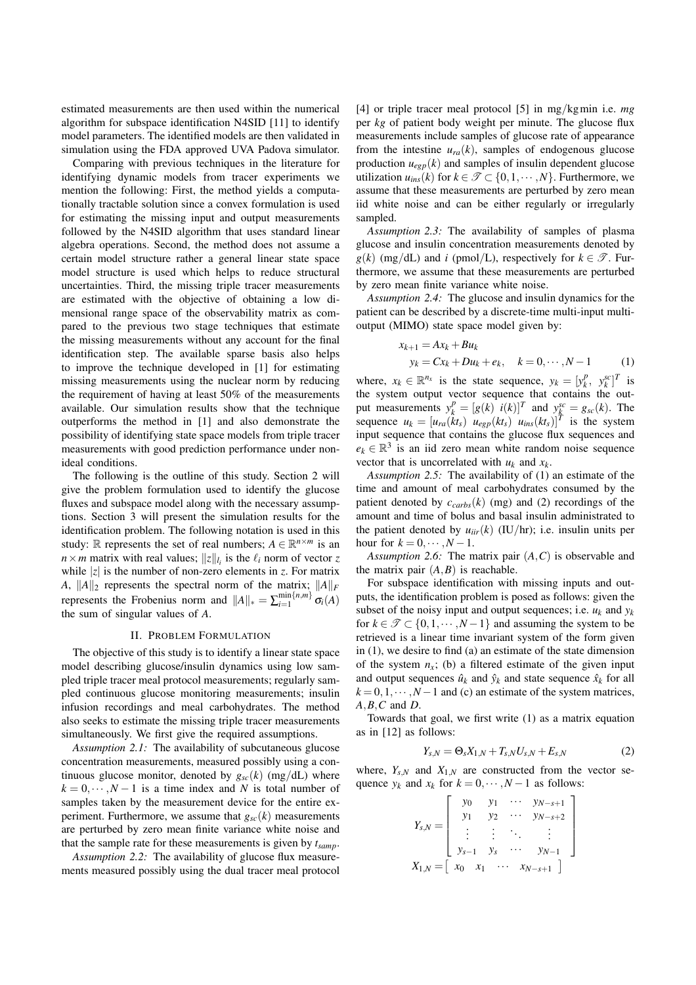estimated measurements are then used within the numerical algorithm for subspace identification N4SID [11] to identify model parameters. The identified models are then validated in simulation using the FDA approved UVA Padova simulator.

Comparing with previous techniques in the literature for identifying dynamic models from tracer experiments we mention the following: First, the method yields a computationally tractable solution since a convex formulation is used for estimating the missing input and output measurements followed by the N4SID algorithm that uses standard linear algebra operations. Second, the method does not assume a certain model structure rather a general linear state space model structure is used which helps to reduce structural uncertainties. Third, the missing triple tracer measurements are estimated with the objective of obtaining a low dimensional range space of the observability matrix as compared to the previous two stage techniques that estimate the missing measurements without any account for the final identification step. The available sparse basis also helps to improve the technique developed in [1] for estimating missing measurements using the nuclear norm by reducing the requirement of having at least 50% of the measurements available. Our simulation results show that the technique outperforms the method in [1] and also demonstrate the possibility of identifying state space models from triple tracer measurements with good prediction performance under nonideal conditions.

The following is the outline of this study. Section 2 will give the problem formulation used to identify the glucose fluxes and subspace model along with the necessary assumptions. Section 3 will present the simulation results for the identification problem. The following notation is used in this study:  $\mathbb R$  represents the set of real numbers;  $A \in \mathbb R^{n \times m}$  is an  $n \times m$  matrix with real values;  $||z||_{l_i}$  is the  $l_i$  norm of vector *z* while  $|z|$  is the number of non-zero elements in *z*. For matrix *A*,  $||A||_2$  represents the spectral norm of the matrix;  $||A||_F$ represents the Frobenius norm and  $||A||_* = \sum_{i=1}^{\min\{n,m\}} \sigma_i(A)$ the sum of singular values of *A*.

## II. PROBLEM FORMULATION

The objective of this study is to identify a linear state space model describing glucose/insulin dynamics using low sampled triple tracer meal protocol measurements; regularly sampled continuous glucose monitoring measurements; insulin infusion recordings and meal carbohydrates. The method also seeks to estimate the missing triple tracer measurements simultaneously. We first give the required assumptions.

*Assumption 2.1:* The availability of subcutaneous glucose concentration measurements, measured possibly using a continuous glucose monitor, denoted by  $g_{sc}(k)$  (mg/dL) where  $k = 0, \dots, N-1$  is a time index and *N* is total number of samples taken by the measurement device for the entire experiment. Furthermore, we assume that  $g_{sc}(k)$  measurements are perturbed by zero mean finite variance white noise and that the sample rate for these measurements is given by *tsamp*.

*Assumption 2.2:* The availability of glucose flux measurements measured possibly using the dual tracer meal protocol [4] or triple tracer meal protocol [5] in mg*/*kgmin i.e. *mg* per *kg* of patient body weight per minute. The glucose flux measurements include samples of glucose rate of appearance from the intestine  $u_{ra}(k)$ , samples of endogenous glucose production  $u_{egp}(k)$  and samples of insulin dependent glucose utilization  $u_{ins}(k)$  for  $k \in \mathcal{T} \subset \{0, 1, \dots, N\}$ . Furthermore, we assume that these measurements are perturbed by zero mean iid white noise and can be either regularly or irregularly sampled.

*Assumption 2.3:* The availability of samples of plasma glucose and insulin concentration measurements denoted by  $g(k)$  (mg/dL) and *i* (pmol/L), respectively for  $k \in \mathcal{T}$ . Furthermore, we assume that these measurements are perturbed by zero mean finite variance white noise.

*Assumption 2.4:* The glucose and insulin dynamics for the patient can be described by a discrete-time multi-input multioutput (MIMO) state space model given by:

$$
x_{k+1} = Ax_k + Bu_k
$$
  
\n
$$
y_k = Cx_k + Du_k + e_k, \quad k = 0, \dots, N-1
$$
 (1)

where,  $x_k \in \mathbb{R}^{n_x}$  is the state sequence,  $y_k = [y_k^p, y_k^{sc}]^T$  is the system output vector sequence that contains the output measurements  $y_k^p = [g(k) \ \ i(k)]^T$  and  $y_k^{sc} = g_{sc}(k)$ . The sequence  $u_k = [u_{ra}(\hat{k}t_s) \; u_{egp}(kt_s) \; u_{ins}(kt_s)]^T$  is the system input sequence that contains the glucose flux sequences and  $e_k \in \mathbb{R}^3$  is an iid zero mean white random noise sequence vector that is uncorrelated with *uk* and *xk*.

*Assumption 2.5:* The availability of (1) an estimate of the time and amount of meal carbohydrates consumed by the patient denoted by  $c_{carbs}(k)$  (mg) and (2) recordings of the amount and time of bolus and basal insulin administrated to the patient denoted by  $u_{ijr}(k)$  (IU/hr); i.e. insulin units per hour for  $k = 0, \cdots, N-1$ .

*Assumption 2.6:* The matrix pair (*A,C*) is observable and the matrix pair  $(A, B)$  is reachable.

For subspace identification with missing inputs and outputs, the identification problem is posed as follows: given the subset of the noisy input and output sequences; i.e.  $u_k$  and  $y_k$ for  $k \in \mathcal{T} \subset \{0, 1, \dots, N-1\}$  and assuming the system to be retrieved is a linear time invariant system of the form given in (1), we desire to find (a) an estimate of the state dimension of the system  $n_x$ ; (b) a filtered estimate of the given input and output sequences  $\hat{u}_k$  and  $\hat{v}_k$  and state sequence  $\hat{x}_k$  for all  $k = 0, 1, \dots, N-1$  and (c) an estimate of the system matrices, *A,B,C* and *D*.

Towards that goal, we first write (1) as a matrix equation as in [12] as follows:

$$
Y_{s,N} = \Theta_s X_{1,N} + T_{s,N} U_{s,N} + E_{s,N}
$$
 (2)

where,  $Y_{s,N}$  and  $X_{1,N}$  are constructed from the vector sequence  $y_k$  and  $x_k$  for  $k = 0, \dots, N-1$  as follows:

$$
Y_{s,N} = \left[ \begin{array}{cccc} y_0 & y_1 & \cdots & y_{N-s+1} \\ y_1 & y_2 & \cdots & y_{N-s+2} \\ \vdots & \vdots & \ddots & \vdots \\ y_{s-1} & y_s & \cdots & y_{N-1} \\ x_{1,N} = \left[ x_0 & x_1 & \cdots & x_{N-s+1} \end{array} \right]
$$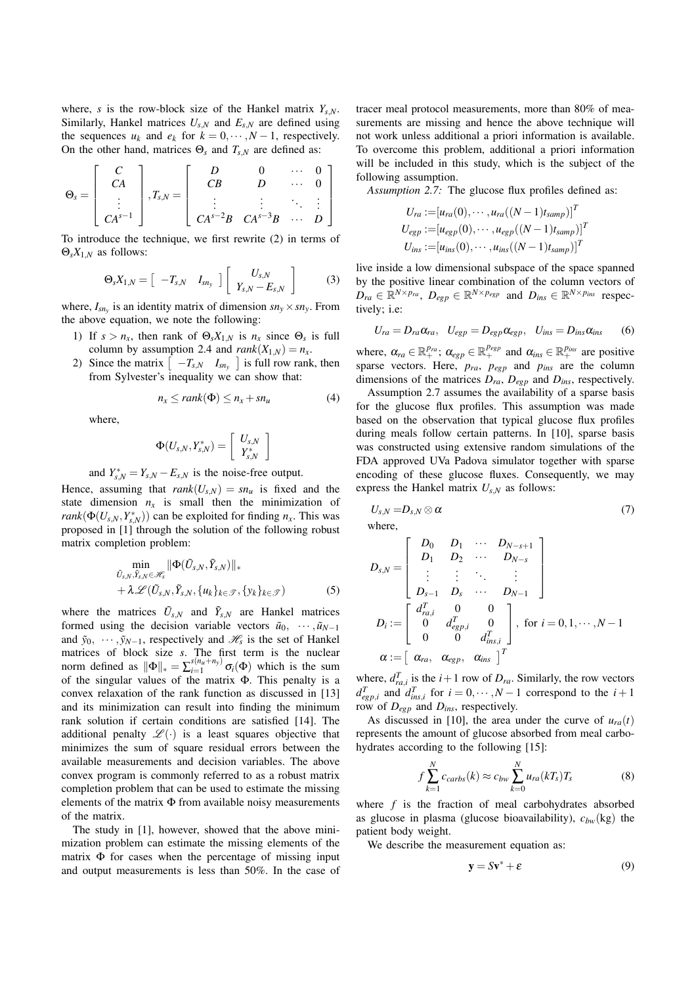where, *s* is the row-block size of the Hankel matrix  $Y_{s,N}$ . Similarly, Hankel matrices  $U_{s,N}$  and  $E_{s,N}$  are defined using the sequences  $u_k$  and  $e_k$  for  $k = 0, \cdots, N-1$ , respectively. On the other hand, matrices  $\Theta_s$  and  $T_{s,N}$  are defined as:

$$
\Theta_s = \left[\begin{array}{c} C \\ CA \\ \vdots \\ CA^{s-1} \end{array}\right], T_{s,N} = \left[\begin{array}{cccc} D & 0 & \cdots & 0 \\ CB & D & \cdots & 0 \\ \vdots & \vdots & \ddots & \vdots \\ CA^{s-2}B & CA^{s-3}B & \cdots & D \end{array}\right]
$$

To introduce the technique, we first rewrite (2) in terms of  $\Theta_{s}X_{1,N}$  as follows:

$$
\Theta_s X_{1,N} = \begin{bmatrix} -T_{s,N} & I_{sn_y} \end{bmatrix} \begin{bmatrix} U_{s,N} \\ Y_{s,N} - E_{s,N} \end{bmatrix}
$$
 (3)

where,  $I_{sn_y}$  is an identity matrix of dimension  $sn_y \times sn_y$ . From the above equation, we note the following:

- 1) If  $s > n_x$ , then rank of  $\Theta_s X_{1,N}$  is  $n_x$  since  $\Theta_s$  is full column by assumption 2.4 and  $rank(X_{1,N}) = n_x$ .
- 2) Since the matrix  $\begin{bmatrix} -T_{s,N} & I_{sn_y} \end{bmatrix}$  is full row rank, then from Sylvester's inequality we can show that:

$$
n_x \leq rank(\Phi) \leq n_x + sn_u \tag{4}
$$

where,

$$
\Phi(U_{s,N},Y_{s,N}^*)=\left[\begin{array}{c} U_{s,N} \\ Y_{s,N}^* \end{array}\right]
$$

and  $Y_{s,N}^* = Y_{s,N} - E_{s,N}$  is the noise-free output.

Hence, assuming that  $rank(U_{s,N}) = sn_u$  is fixed and the state dimension  $n_x$  is small then the minimization of *rank*( $\Phi(U_{s,N}, Y_{s,N}^*)$ ) can be exploited for finding *n<sub>x</sub>*. This was proposed in [1] through the solution of the following robust matrix completion problem:

$$
\min_{\tilde{U}_{S,N}, \tilde{Y}_{S,N} \in \mathscr{H}_S} \|\Phi(\tilde{U}_{S,N}, \tilde{Y}_{S,N})\|_{*} + \lambda \mathscr{L}(\tilde{U}_{S,N}, \tilde{Y}_{S,N}, \{u_k\}_{k \in \mathscr{T}}, \{y_k\}_{k \in \mathscr{T}})
$$
(5)

where the matrices  $\tilde{U}_{s,N}$  and  $\tilde{Y}_{s,N}$  are Hankel matrices formed using the decision variable vectors  $\tilde{u}_0$ ,  $\cdots$ ,  $\tilde{u}_{N-1}$ and  $\tilde{y}_0$ ,  $\cdots$ ,  $\tilde{y}_{N-1}$ , respectively and  $\mathcal{H}_s$  is the set of Hankel matrices of block size *s*. The first term is the nuclear norm defined as  $\|\Phi\|_{*} = \sum_{i=1}^{s(n_u+n_y)} \sigma_i(\Phi)$  which is the sum of the singular values of the matrix  $\Phi$ . This penalty is a convex relaxation of the rank function as discussed in [13] and its minimization can result into finding the minimum rank solution if certain conditions are satisfied [14]. The additional penalty  $\mathscr{L}(\cdot)$  is a least squares objective that minimizes the sum of square residual errors between the available measurements and decision variables. The above convex program is commonly referred to as a robust matrix completion problem that can be used to estimate the missing elements of the matrix  $\Phi$  from available noisy measurements of the matrix.

The study in [1], however, showed that the above minimization problem can estimate the missing elements of the matrix  $\Phi$  for cases when the percentage of missing input and output measurements is less than 50%. In the case of

tracer meal protocol measurements, more than 80% of measurements are missing and hence the above technique will not work unless additional a priori information is available. To overcome this problem, additional a priori information will be included in this study, which is the subject of the following assumption.

*Assumption 2.7:* The glucose flux profiles defined as:

$$
U_{ra} := [u_{ra}(0), \cdots, u_{ra}((N-1)t_{samp})]^T
$$
  
\n
$$
U_{egp} := [u_{egp}(0), \cdots, u_{egp}((N-1)t_{samp})]^T
$$
  
\n
$$
U_{ins} := [u_{ins}(0), \cdots, u_{ins}((N-1)t_{samp})]^T
$$

live inside a low dimensional subspace of the space spanned by the positive linear combination of the column vectors of  $D_{ra} \in \mathbb{R}^{N \times p_{ra}}, D_{egp} \in \mathbb{R}^{N \times p_{egp}}$  and  $D_{ins} \in \mathbb{R}^{N \times p_{ins}}$  respectively; i.e:

$$
U_{ra} = D_{ra}\alpha_{ra}, \quad U_{egp} = D_{egp}\alpha_{egp}, \quad U_{ins} = D_{ins}\alpha_{ins}
$$
 (6)

where,  $\alpha_{ra} \in \mathbb{R}^{p_{ra}}_+$ ;  $\alpha_{egp} \in \mathbb{R}^{p_{egp}}_+$  and  $\alpha_{ins} \in \mathbb{R}^{p_{ins}}_+$  are positive sparse vectors. Here,  $p_{ra}$ ,  $p_{egp}$  and  $p_{ins}$  are the column dimensions of the matrices  $D_{ra}$ ,  $D_{eep}$  and  $D_{ins}$ , respectively.

Assumption 2.7 assumes the availability of a sparse basis for the glucose flux profiles. This assumption was made based on the observation that typical glucose flux profiles during meals follow certain patterns. In [10], sparse basis was constructed using extensive random simulations of the FDA approved UVa Padova simulator together with sparse encoding of these glucose fluxes. Consequently, we may express the Hankel matrix  $U_{s,N}$  as follows:

$$
U_{s,N} = D_{s,N} \otimes \alpha \tag{7}
$$
 where,

$$
D_{s,N} = \begin{bmatrix} D_0 & D_1 & \cdots & D_{N-s+1} \\ D_1 & D_2 & \cdots & D_{N-s} \\ \vdots & \vdots & \ddots & \vdots \\ D_{s-1} & D_s & \cdots & D_{N-1} \end{bmatrix}
$$
  

$$
D_i := \begin{bmatrix} d_{ra,i}^T & 0 & 0 \\ 0 & d_{egp,i}^T & 0 \\ 0 & 0 & d_{ins,i}^T \end{bmatrix}, \text{ for } i = 0, 1, \cdots, N-1
$$
  

$$
\alpha := \begin{bmatrix} \alpha_{ra}, & \alpha_{egp}, & \alpha_{ins} \end{bmatrix}^T
$$

where,  $d_{ra,i}^T$  is the  $i+1$  row of  $D_{ra}$ . Similarly, the row vectors  $d_{egp,i}^T$  and  $d_{ins,i}^T$  for  $i = 0, \dots, N-1$  correspond to the  $i+1$ row of *Degp* and *Dins*, respectively.

As discussed in [10], the area under the curve of  $u_{ra}(t)$ represents the amount of glucose absorbed from meal carbohydrates according to the following [15]:

$$
f\sum_{k=1}^{N}c_{carbs}(k) \approx c_{bw}\sum_{k=0}^{N}u_{ra}(kT_s)T_s
$$
 (8)

where *f* is the fraction of meal carbohydrates absorbed as glucose in plasma (glucose bioavailability),  $c_{bw}$ (kg) the patient body weight.

We describe the measurement equation as:

$$
\mathbf{y} = S\mathbf{v}^* + \varepsilon \tag{9}
$$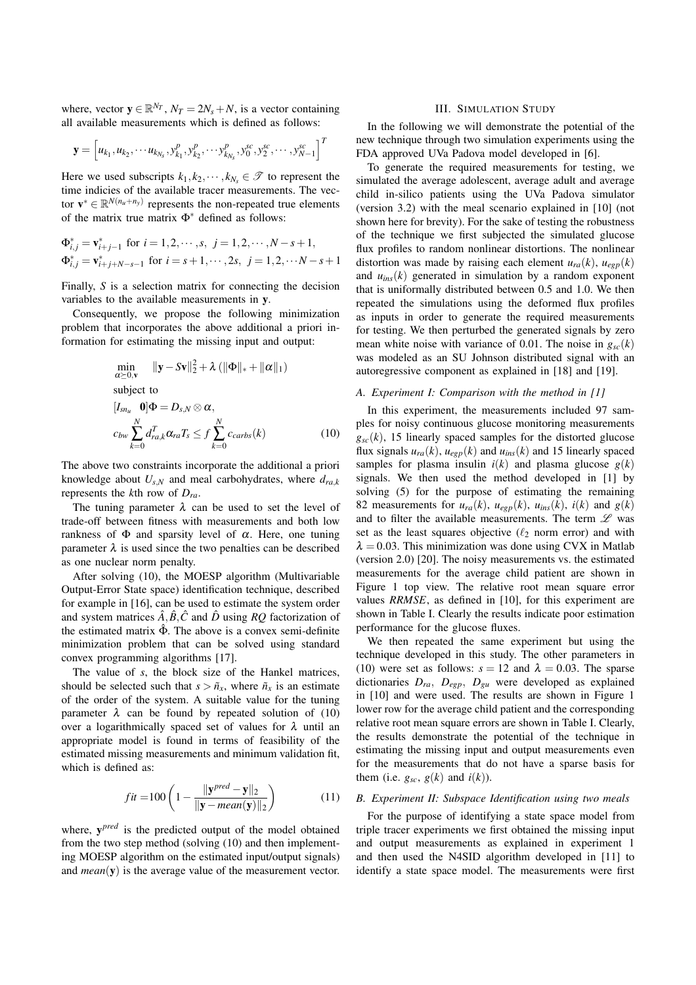where, vector  $\mathbf{y} \in \mathbb{R}^{N_T}$ ,  $N_T = 2N_s + N$ , is a vector containing all available measurements which is defined as follows:

$$
\mathbf{y} = \left[ u_{k_1}, u_{k_2}, \cdots u_{k_{N_s}}, y_{k_1}^p, y_{k_2}^p, \cdots, y_{k_{N_s}}^p, y_0^{sc}, y_2^{sc}, \cdots, y_{N-1}^{sc} \right]^T
$$

Here we used subscripts  $k_1, k_2, \dots, k_{N_s} \in \mathcal{F}$  to represent the time indicies of the available tracer measurements. The vector  $\mathbf{v}^* \in \mathbb{R}^{N(n_u+n_y)}$  represents the non-repeated true elements of the matrix true matrix  $\Phi^*$  defined as follows:

$$
\Phi_{i,j}^* = \mathbf{v}_{i+j-1}^* \text{ for } i = 1, 2, \cdots, s, \ j = 1, 2, \cdots, N - s + 1, \n\Phi_{i,j}^* = \mathbf{v}_{i+j+N-s-1}^* \text{ for } i = s+1, \cdots, 2s, \ j = 1, 2, \cdots N - s + 1
$$

Finally, *S* is a selection matrix for connecting the decision variables to the available measurements in y.

Consequently, we propose the following minimization problem that incorporates the above additional a priori information for estimating the missing input and output:

$$
\min_{\alpha \succeq 0, \mathbf{v}} \|\mathbf{y} - S\mathbf{v}\|_{2}^{2} + \lambda \left( \|\Phi\|_{*} + \|\alpha\|_{1} \right)
$$
\nsubject to\n
$$
[I_{sn_u} \quad \mathbf{0}] \Phi = D_{s,N} \otimes \alpha,
$$
\n
$$
c_{bw} \sum_{k=0}^{N} d_{ra,k}^{T} \alpha_{ra} T_{s} \leq f \sum_{k=0}^{N} c_{carbs}(k) \tag{10}
$$

The above two constraints incorporate the additional a priori knowledge about  $U_{s,N}$  and meal carbohydrates, where  $d_{ra,k}$ represents the *k*th row of *Dra*.

The tuning parameter  $\lambda$  can be used to set the level of trade-off between fitness with measurements and both low rankness of  $\Phi$  and sparsity level of  $\alpha$ . Here, one tuning parameter  $\lambda$  is used since the two penalties can be described as one nuclear norm penalty.

After solving (10), the MOESP algorithm (Multivariable Output-Error State space) identification technique, described for example in [16], can be used to estimate the system order and system matrices  $\hat{A}$ ,  $\hat{B}$ ,  $\hat{C}$  and  $\hat{D}$  using *RQ* factorization of the estimated matrix  $\hat{\Phi}$ . The above is a convex semi-definite minimization problem that can be solved using standard convex programming algorithms [17].

The value of *s*, the block size of the Hankel matrices, should be selected such that  $s > \tilde{n}_x$ , where  $\tilde{n}_x$  is an estimate of the order of the system. A suitable value for the tuning parameter  $\lambda$  can be found by repeated solution of (10) over a logarithmically spaced set of values for  $\lambda$  until an appropriate model is found in terms of feasibility of the estimated missing measurements and minimum validation fit, which is defined as:

$$
fit = 100 \left( 1 - \frac{\|\mathbf{y}^{pred} - \mathbf{y}\|_2}{\|\mathbf{y} - mean(\mathbf{y})\|_2} \right) \tag{11}
$$

where, y*pred* is the predicted output of the model obtained from the two step method (solving (10) and then implementing MOESP algorithm on the estimated input/output signals) and *mean*(y) is the average value of the measurement vector.

## III. SIMULATION STUDY

In the following we will demonstrate the potential of the new technique through two simulation experiments using the FDA approved UVa Padova model developed in [6].

To generate the required measurements for testing, we simulated the average adolescent, average adult and average child in-silico patients using the UVa Padova simulator (version 3.2) with the meal scenario explained in [10] (not shown here for brevity). For the sake of testing the robustness of the technique we first subjected the simulated glucose flux profiles to random nonlinear distortions. The nonlinear distortion was made by raising each element  $u_{ra}(k)$ ,  $u_{eep}(k)$ and  $u_{inc}(k)$  generated in simulation by a random exponent that is uniformally distributed between 0.5 and 1.0. We then repeated the simulations using the deformed flux profiles as inputs in order to generate the required measurements for testing. We then perturbed the generated signals by zero mean white noise with variance of 0.01. The noise in  $g_{sc}(k)$ was modeled as an SU Johnson distributed signal with an autoregressive component as explained in [18] and [19].

#### *A. Experiment I: Comparison with the method in [1]*

In this experiment, the measurements included 97 samples for noisy continuous glucose monitoring measurements  $g_{\rm sc}(k)$ , 15 linearly spaced samples for the distorted glucose flux signals  $u_{ra}(k)$ ,  $u_{egp}(k)$  and  $u_{ins}(k)$  and 15 linearly spaced samples for plasma insulin  $i(k)$  and plasma glucose  $g(k)$ signals. We then used the method developed in [1] by solving (5) for the purpose of estimating the remaining 82 measurements for  $u_{ra}(k)$ ,  $u_{egp}(k)$ ,  $u_{ins}(k)$ ,  $i(k)$  and  $g(k)$ and to filter the available measurements. The term *L* was set as the least squares objective ( $\ell_2$  norm error) and with  $\lambda = 0.03$ . This minimization was done using CVX in Matlab (version 2.0) [20]. The noisy measurements vs. the estimated measurements for the average child patient are shown in Figure 1 top view. The relative root mean square error values *RRMSE*, as defined in [10], for this experiment are shown in Table I. Clearly the results indicate poor estimation performance for the glucose fluxes.

We then repeated the same experiment but using the technique developed in this study. The other parameters in (10) were set as follows:  $s = 12$  and  $\lambda = 0.03$ . The sparse dictionaries *Dra, Degp, Dgu* were developed as explained in [10] and were used. The results are shown in Figure 1 lower row for the average child patient and the corresponding relative root mean square errors are shown in Table I. Clearly, the results demonstrate the potential of the technique in estimating the missing input and output measurements even for the measurements that do not have a sparse basis for them (i.e.  $g_{sc}$ ,  $g(k)$  and  $i(k)$ ).

# *B. Experiment II: Subspace Identification using two meals*

For the purpose of identifying a state space model from triple tracer experiments we first obtained the missing input and output measurements as explained in experiment 1 and then used the N4SID algorithm developed in [11] to identify a state space model. The measurements were first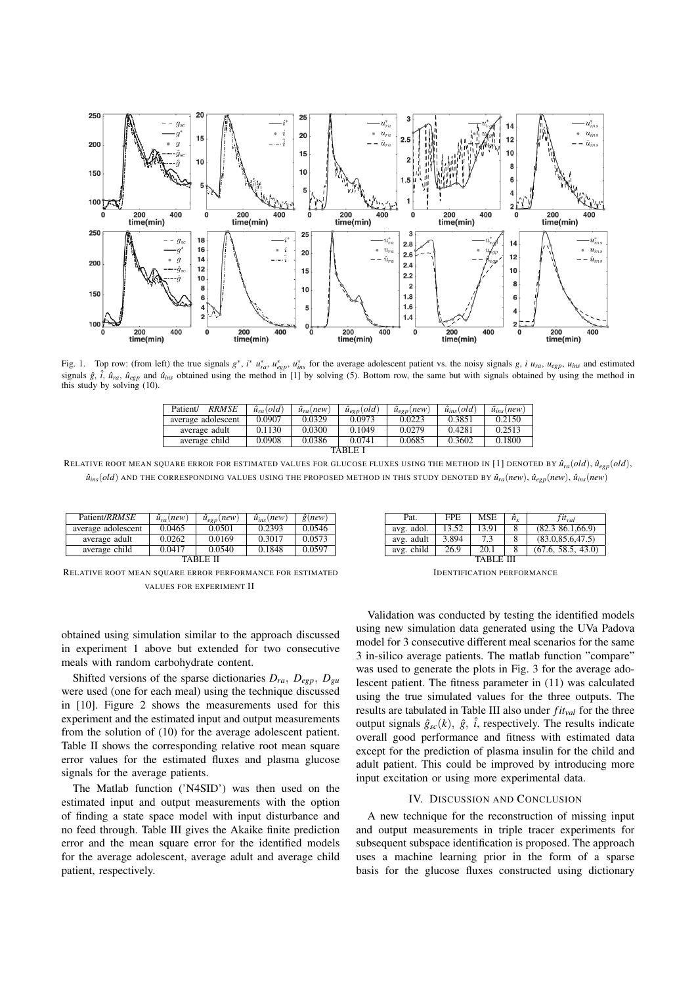

Fig. 1. Top row: (from left) the true signals  $g^*$ ,  $i^* u_{ra}^*$ ,  $u_{rg}^*$ ,  $u_{ngr}^*$ ,  $u_{ms}^*$  for the average adolescent patient vs. the noisy signals g, i  $u_{ra}$ ,  $u_{eg}$ ,  $u_{ins}$  and estimated signals  $\hat{g}$ ,  $\hat{i}$ ,  $\hat{u}_{ra}$ ,  $\hat{u}_{eg}$  and  $\hat{u}_{ins}$  obtained using the method in [1] by solving (5). Bottom row, the same but with signals obtained by using the method in this study by solving (10).

| <b>RRMSE</b><br>Patient/ | $\hat{u}_{ra}(old)$ | $\hat{u}_{ra}(new)$ | $\hat{u}_{eep}(old)$ | $\hat{u}_{eep}(new)$ | $\hat{u}_{ins}(old)$ | $\hat{u}_{ins}(new)$ |  |  |
|--------------------------|---------------------|---------------------|----------------------|----------------------|----------------------|----------------------|--|--|
| average adolescent       | 0.0907              | 0.0329              | 0.0973               | 0.0223               | 0.3851               | 0.2150               |  |  |
| average adult            | 0.1130              | 0.0300              | 0.1049               | 0.0279               | 0.4281               | 0.2513               |  |  |
| average child            | 0.0908              | 0.0386              | 0.0741               | 0.0685               | 0.3602               | 0.1800               |  |  |
| TARI E I                 |                     |                     |                      |                      |                      |                      |  |  |

RELATIVE ROOT MEAN SQUARE ERROR FOR ESTIMATED VALUES FOR GLUCOSE FLUXES USING THE METHOD IN [1] DENOTED BY  $\hat{u}_{ra}(\text{old})$ ,  $\hat{u}_{egp}(\text{old})$ ,  $\hat{u}_{ins}(old)$  and the corresponding values using the proposed method in this study denoted by  $\hat{u}_{ra}(new)$ ,  $\hat{u}_{egp}(new)$ ,  $\hat{u}_{ins}(new)$ 

| Patient/RRMSE      | $\hat{u}_{ra}(new)$ | $\hat{u}_{eep}(new)$ | $\hat{u}_{ins}(new)$ | $\hat{g}(new)$ |  |  |  |
|--------------------|---------------------|----------------------|----------------------|----------------|--|--|--|
| average adolescent | 0.0465              | 0.0501               | 0.2393               | 0.0546         |  |  |  |
| average adult      | 0.0262              | 0.0169               | 0.3017               | 0.0573         |  |  |  |
| average child      | 0.0417              | 0.0540               | 0.1848               | 0.0597         |  |  |  |
|                    |                     |                      |                      |                |  |  |  |

RELATIVE ROOT MEAN SQUARE ERROR PERFORMANCE FOR ESTIMATED VALUES FOR EXPERIMENT II

obtained using simulation similar to the approach discussed in experiment 1 above but extended for two consecutive meals with random carbohydrate content.

Shifted versions of the sparse dictionaries  $D_{ra}$ ,  $D_{egp}$ ,  $D_{gu}$ were used (one for each meal) using the technique discussed in [10]. Figure 2 shows the measurements used for this experiment and the estimated input and output measurements from the solution of (10) for the average adolescent patient. Table II shows the corresponding relative root mean square error values for the estimated fluxes and plasma glucose signals for the average patients.

The Matlab function ('N4SID') was then used on the estimated input and output measurements with the option of finding a state space model with input disturbance and no feed through. Table III gives the Akaike finite prediction error and the mean square error for the identified models for the average adolescent, average adult and average child patient, respectively.

| Pat.       | FPE.  | <b>MSE</b> | ĥ. | $fit_{val}$          |  |  |  |
|------------|-------|------------|----|----------------------|--|--|--|
| avg. adol. | 13.52 | 13.91      | 8  | $(82.3 \t86.1,66.9)$ |  |  |  |
| avg. adult | 3.894 | 7.3        | 8  | (83.0, 85.6, 47.5)   |  |  |  |
| avg. child | 26.9  | 20.1       |    | (67.6, 58.5, 43.0)   |  |  |  |
|            |       |            |    |                      |  |  |  |

IDENTIFICATION PERFORMANCE

Validation was conducted by testing the identified models using new simulation data generated using the UVa Padova model for 3 consecutive different meal scenarios for the same 3 in-silico average patients. The matlab function "compare" was used to generate the plots in Fig. 3 for the average adolescent patient. The fitness parameter in (11) was calculated using the true simulated values for the three outputs. The results are tabulated in Table III also under *fitval* for the three output signals  $\hat{g}_{sc}(k)$ ,  $\hat{g}$ ,  $\hat{i}$ , respectively. The results indicate overall good performance and fitness with estimated data except for the prediction of plasma insulin for the child and adult patient. This could be improved by introducing more input excitation or using more experimental data.

# IV. DISCUSSION AND CONCLUSION

A new technique for the reconstruction of missing input and output measurements in triple tracer experiments for subsequent subspace identification is proposed. The approach uses a machine learning prior in the form of a sparse basis for the glucose fluxes constructed using dictionary